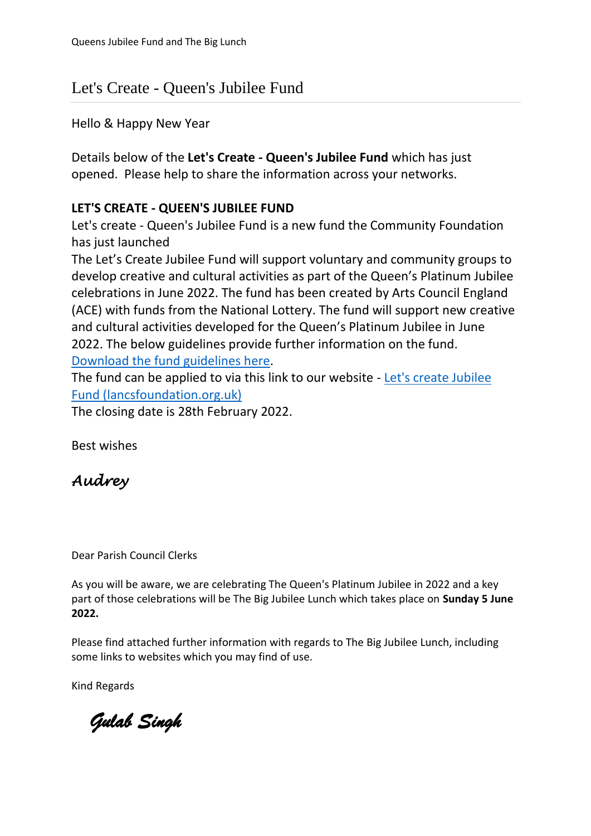# Let's Create - Queen's Jubilee Fund

Hello & Happy New Year

Details below of the **Let's Create - Queen's Jubilee Fund** which has just opened. Please help to share the information across your networks.

### **LET'S CREATE - QUEEN'S JUBILEE FUND**

Let's create - Queen's Jubilee Fund is a new fund the Community Foundation has just launched

The Let's Create Jubilee Fund will support voluntary and community groups to develop creative and cultural activities as part of the Queen's Platinum Jubilee celebrations in June 2022. The fund has been created by Arts Council England (ACE) with funds from the National Lottery. The fund will support new creative and cultural activities developed for the Queen's Platinum Jubilee in June 2022. The below guidelines provide further information on the fund. [Download the fund guidelines here.](https://www.bprcvs.co.uk/images/linked-files/Funding/Arts_Council_England_Lets_Create_Jubilee_Fund_Programme_Guidelines.pdf)

The fund can be applied to via this link to our website - [Let's create Jubilee](https://lancsfoundation.org.uk/funds/lets-create-jubilee-fund-)  [Fund \(lancsfoundation.org.uk\)](https://lancsfoundation.org.uk/funds/lets-create-jubilee-fund-)

The closing date is 28th February 2022.

Best wishes

# *Audrey*

Dear Parish Council Clerks

As you will be aware, we are celebrating The Queen's Platinum Jubilee in 2022 and a key part of those celebrations will be The Big Jubilee Lunch which takes place on **Sunday 5 June 2022.**

Please find attached further information with regards to The Big Jubilee Lunch, including some links to websites which you may find of use.

Kind Regards

 *Gulab Singh*